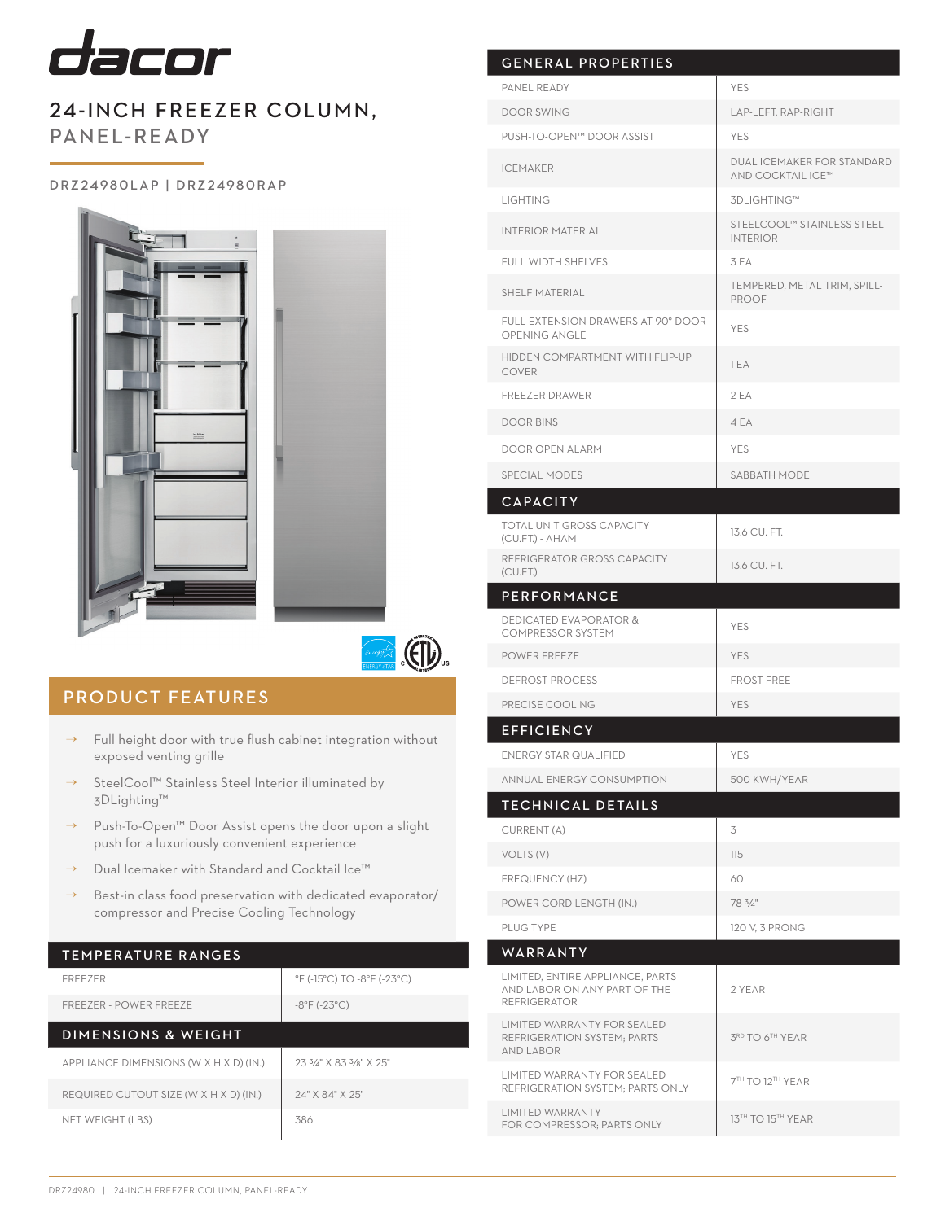

# 24-INCH FREEZER COLUMN, PANEL-READY

### D R Z 2 4 9 8 0 L A P | D R Z 2 4 9 8 0 R A P





## PRODUCT FEATURES

- $\rightarrow$  Full height door with true flush cabinet integration without exposed venting grille
- → SteelCool™ Stainless Steel Interior illuminated by 3DLighting™
- → Push-To-Open™ Door Assist opens the door upon a slight push for a luxuriously convenient experience
- → Dual Icemaker with Standard and Cocktail Ice™
- $\rightarrow$  Best-in class food preservation with dedicated evaporator/ compressor and Precise Cooling Technology

## TEMPERATURE RANGES

| <b>FREEZER</b>                         | °F (-15°C) TO -8°F (-23°C)                    |
|----------------------------------------|-----------------------------------------------|
| FREEZER - POWER FREEZE                 | $-8^{\circ}$ F ( $-23^{\circ}$ C)             |
| <b>DIMENSIONS &amp; WEIGHT</b>         |                                               |
| APPLIANCE DIMENSIONS (W X H X D) (IN.) | $2.33\frac{1}{4}$ X 8.3 $3\frac{1}{8}$ X 2.5" |
| REQUIRED CUTOUT SIZE (W X H X D) (IN.) | 24" X 84" X 25"                               |
| NET WEIGHT (LBS)                       | 386                                           |

| <b>GENERAL PROPERTIES</b>                                                               |                                                        |
|-----------------------------------------------------------------------------------------|--------------------------------------------------------|
| PANEL READY                                                                             | <b>YES</b>                                             |
| <b>DOOR SWING</b>                                                                       | LAP-LEFT, RAP-RIGHT                                    |
| PUSH-TO-OPEN™ DOOR ASSIST                                                               | <b>YES</b>                                             |
| <b>ICEMAKER</b>                                                                         | <b>DUAL ICEMAKER FOR STANDARD</b><br>AND COCKTAIL ICE™ |
| <b>LIGHTING</b>                                                                         | 3DLIGHTING™                                            |
| <b>INTERIOR MATERIAL</b>                                                                | STEELCOOL™ STAINLESS STEEL<br><b>INTERIOR</b>          |
| <b>FULL WIDTH SHELVES</b>                                                               | 3 EA                                                   |
| <b>SHELF MATERIAL</b>                                                                   | TEMPERED, METAL TRIM, SPILL-<br><b>PROOF</b>           |
| FULL EXTENSION DRAWERS AT 90° DOOR<br><b>OPENING ANGLE</b>                              | <b>YES</b>                                             |
| HIDDEN COMPARTMENT WITH FLIP-UP<br><b>COVER</b>                                         | 1 EA                                                   |
| <b>FREEZER DRAWER</b>                                                                   | 2EA                                                    |
| <b>DOOR BINS</b>                                                                        | 4 EA                                                   |
| DOOR OPEN ALARM                                                                         | <b>YES</b>                                             |
| <b>SPECIAL MODES</b>                                                                    | SABBATH MODE                                           |
| <b>CAPACITY</b>                                                                         |                                                        |
| <b>TOTAL UNIT GROSS CAPACITY</b><br>(CU.FT.) - AHAM                                     | 13.6 CU, FT.                                           |
| REFRIGERATOR GROSS CAPACITY<br>(CU.FT.)                                                 | 13.6 CU. FT.                                           |
| <b>PERFORMANCE</b>                                                                      |                                                        |
| <b>DEDICATED EVAPORATOR &amp;</b><br><b>COMPRESSOR SYSTEM</b>                           | <b>YES</b>                                             |
| <b>POWER FREEZE</b>                                                                     | <b>YES</b>                                             |
| <b>DEFROST PROCESS</b>                                                                  | <b>FROST-FREE</b>                                      |
| PRECISE COOLING                                                                         | <b>YES</b>                                             |
| <b>EFFICIENCY</b>                                                                       |                                                        |
| <b>ENERGY STAR QUALIFIED</b>                                                            | YES                                                    |
| ANNUAL ENERGY CONSUMPTION                                                               | 500 KWH/YEAR                                           |
| <b>TECHNICAL DETAILS</b>                                                                |                                                        |
| CURRENT (A)                                                                             | 3                                                      |
| VOLTS (V)                                                                               | 115                                                    |
| FREQUENCY (HZ)                                                                          | 60                                                     |
| POWER CORD LENGTH (IN.)                                                                 | 78 $3/4$ "                                             |
| PLUG TYPE                                                                               | 120 V, 3 PRONG                                         |
| WARRANTY                                                                                |                                                        |
| LIMITED, ENTIRE APPLIANCE, PARTS<br>AND LABOR ON ANY PART OF THE<br><b>REFRIGERATOR</b> | 2 YEAR                                                 |
| LIMITED WARRANTY FOR SEALED<br>REFRIGERATION SYSTEM; PARTS<br><b>AND LABOR</b>          | 3RD TO 6TH YEAR                                        |
| LIMITED WARRANTY FOR SEALED<br>REFRIGERATION SYSTEM; PARTS ONLY                         | 7TH TO 12TH YEAR                                       |
| <b>LIMITED WARRANTY</b><br>FOR COMPRESSOR; PARTS ONLY                                   | 13TH TO 15TH YEAR                                      |
|                                                                                         |                                                        |